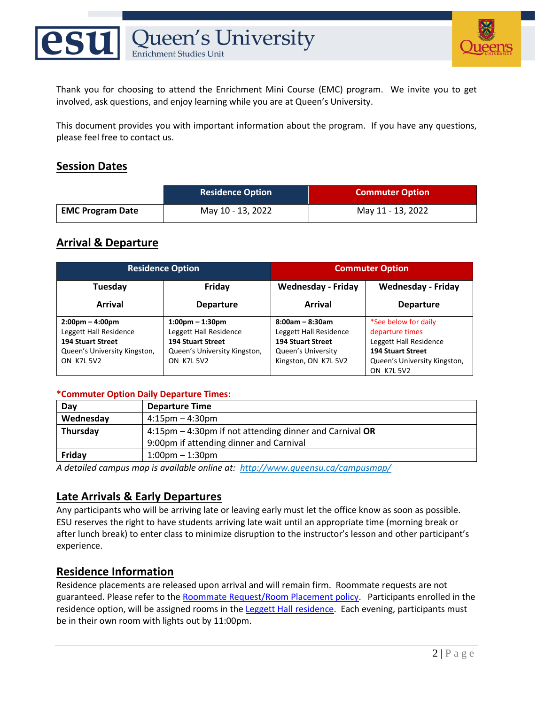



Thank you for choosing to attend the Enrichment Mini Course (EMC) program. We invite you to get involved, ask questions, and enjoy learning while you are at Queen's University.

This document provides you with important information about the program. If you have any questions, please feel free to contact us.

### **Session Dates**

|                         | <b>Residence Option</b> | <b>Commuter Option</b> |
|-------------------------|-------------------------|------------------------|
| <b>EMC Program Date</b> | May 10 - 13, 2022       | May 11 - 13, 2022      |

#### **Arrival & Departure**

| <b>Residence Option</b>           |                                   | <b>Commuter Option</b>    |                              |  |
|-----------------------------------|-----------------------------------|---------------------------|------------------------------|--|
| Tuesday                           | Friday                            | <b>Wednesday - Friday</b> | <b>Wednesday - Friday</b>    |  |
| Arrival                           | <b>Departure</b>                  | <b>Arrival</b>            | <b>Departure</b>             |  |
| $2:00 \text{pm} - 4:00 \text{pm}$ | $1:00 \text{pm} - 1:30 \text{pm}$ | $8:00am - 8:30am$         | *See below for daily         |  |
| Leggett Hall Residence            | Leggett Hall Residence            | Leggett Hall Residence    | departure times              |  |
| <b>194 Stuart Street</b>          | <b>194 Stuart Street</b>          | <b>194 Stuart Street</b>  | Leggett Hall Residence       |  |
| Queen's University Kingston,      | Queen's University Kingston,      | Queen's University        | <b>194 Stuart Street</b>     |  |
| <b>ON K7L 5V2</b>                 | <b>ON K7L 5V2</b>                 | Kingston, ON K7L 5V2      | Queen's University Kingston, |  |
|                                   |                                   |                           | <b>ON K7L 5V2</b>            |  |

#### **\*Commuter Option Daily Departure Times:**

| Day       | <b>Departure Time</b>                                   |
|-----------|---------------------------------------------------------|
| Wednesday | $4:15 \text{pm} - 4:30 \text{pm}$                       |
| Thursday  | 4:15pm – 4:30pm if not attending dinner and Carnival OR |
|           | 9:00pm if attending dinner and Carnival                 |
| Fridav    | $1:00$ pm – $1:30$ pm                                   |

*A detailed campus map is available online at:<http://www.queensu.ca/campusmap/>*

#### **Late Arrivals & Early Departures**

Any participants who will be arriving late or leaving early must let the office know as soon as possible. ESU reserves the right to have students arriving late wait until an appropriate time (morning break or after lunch break) to enter class to minimize disruption to the instructor's lesson and other participant's experience.

#### **Residence Information**

Residence placements are released upon arrival and will remain firm. Roommate requests are not guaranteed. Please refer to the [Roommate Request/Room Placement policy.](https://esu.queensu.ca/policies/) Participants enrolled in the residence option, will be assigned rooms in the Leggett Hall [residence.](https://residences.housing.queensu.ca/our-buildings/building-descriptions/leggett-hall/) Each evening, participants must be in their own room with lights out by 11:00pm.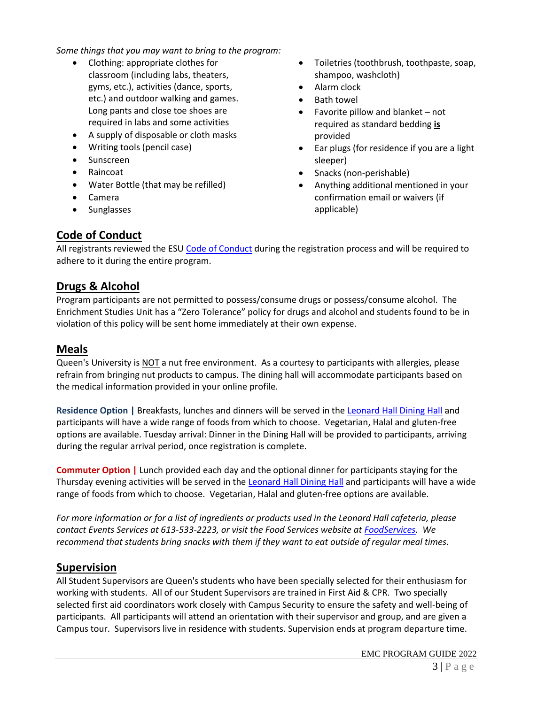*Some things that you may want to bring to the program:* 

- Clothing: appropriate clothes for classroom (including labs, theaters, gyms, etc.), activities (dance, sports, etc.) and outdoor walking and games. Long pants and close toe shoes are required in labs and some activities
- A supply of disposable or cloth masks
- Writing tools (pencil case)
- Sunscreen
- Raincoat
- Water Bottle (that may be refilled)
- Camera
- **Sunglasses**
- Toiletries (toothbrush, toothpaste, soap, shampoo, washcloth)
- Alarm clock
- Bath towel
- Favorite pillow and blanket not required as standard bedding **is**  provided
- Ear plugs (for residence if you are a light sleeper)
- Snacks (non-perishable)
- Anything additional mentioned in your confirmation email or waivers (if applicable)

#### **Code of Conduct**

All registrants reviewed the ESU [Code of Conduct](https://esu.queensu.ca/policies/) during the registration process and will be required to adhere to it during the entire program.

#### **Drugs & Alcohol**

Program participants are not permitted to possess/consume drugs or possess/consume alcohol. The Enrichment Studies Unit has a "Zero Tolerance" policy for drugs and alcohol and students found to be in violation of this policy will be sent home immediately at their own expense.

#### **Meals**

Queen's University is NOT a nut free environment. As a courtesy to participants with allergies, please refrain from bringing nut products to campus. The dining hall will accommodate participants based on the medical information provided in your online profile.

**Residence Option |** Breakfasts, lunches and dinners will be served in the [Leonard Hall Dining Hall](http://dining.queensu.ca/leonard-dining-hall/) and participants will have a wide range of foods from which to choose. Vegetarian, Halal and gluten-free options are available. Tuesday arrival: Dinner in the Dining Hall will be provided to participants, arriving during the regular arrival period, once registration is complete.

**Commuter Option |** Lunch provided each day and the optional dinner for participants staying for the Thursday evening activities will be served in the [Leonard Hall Dining Hall](https://dining.queensu.ca/dining-halls/) and participants will have a wide range of foods from which to choose. Vegetarian, Halal and gluten-free options are available.

*For more information or for a list of ingredients or products used in the Leonard Hall cafeteria, please contact Events Services at 613-533-2223, or visit the Food Services website at [FoodServices.](https://dining.queensu.ca/allergies/) We recommend that students bring snacks with them if they want to eat outside of regular meal times.*

### **Supervision**

All Student Supervisors are Queen's students who have been specially selected for their enthusiasm for working with students. All of our Student Supervisors are trained in First Aid & CPR. Two specially selected first aid coordinators work closely with Campus Security to ensure the safety and well-being of participants. All participants will attend an orientation with their supervisor and group, and are given a Campus tour. Supervisors live in residence with students. Supervision ends at program departure time.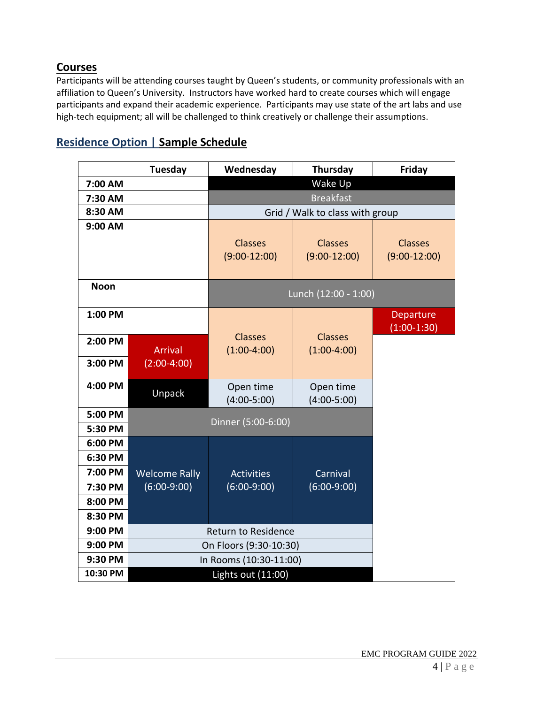## **Courses**

Participants will be attending courses taught by Queen's students, or community professionals with an affiliation to Queen's University. Instructors have worked hard to create courses which will engage participants and expand their academic experience. Participants may use state of the art labs and use high-tech equipment; all will be challenged to think creatively or challenge their assumptions.

|             | <b>Tuesday</b>         | Wednesday                       | Thursday                   | Friday         |
|-------------|------------------------|---------------------------------|----------------------------|----------------|
| 7:00 AM     |                        | Wake Up                         |                            |                |
| 7:30 AM     |                        | <b>Breakfast</b>                |                            |                |
| 8:30 AM     |                        | Grid / Walk to class with group |                            |                |
| 9:00 AM     |                        |                                 |                            |                |
|             |                        | <b>Classes</b>                  | <b>Classes</b>             | <b>Classes</b> |
|             |                        | $(9:00-12:00)$                  | $(9:00-12:00)$             | $(9:00-12:00)$ |
| <b>Noon</b> |                        |                                 |                            |                |
|             |                        | Lunch (12:00 - 1:00)            |                            |                |
| 1:00 PM     |                        |                                 |                            | Departure      |
|             |                        | <b>Classes</b>                  | <b>Classes</b>             | $(1:00-1:30)$  |
| 2:00 PM     | <b>Arrival</b>         | $(1:00-4:00)$                   | $(1:00-4:00)$              |                |
| 3:00 PM     | $(2:00-4:00)$          |                                 |                            |                |
|             |                        |                                 |                            |                |
| 4:00 PM     | Unpack                 | Open time<br>$(4:00-5:00)$      | Open time<br>$(4:00-5:00)$ |                |
| 5:00 PM     |                        |                                 |                            |                |
| 5:30 PM     | Dinner (5:00-6:00)     |                                 |                            |                |
| 6:00 PM     |                        |                                 |                            |                |
| 6:30 PM     |                        |                                 |                            |                |
| 7:00 PM     | <b>Welcome Rally</b>   | <b>Activities</b>               | Carnival                   |                |
| 7:30 PM     | $(6:00-9:00)$          | $(6:00-9:00)$                   | $(6:00-9:00)$              |                |
| 8:00 PM     |                        |                                 |                            |                |
| 8:30 PM     |                        |                                 |                            |                |
| 9:00 PM     | Return to Residence    |                                 |                            |                |
| 9:00 PM     | On Floors (9:30-10:30) |                                 |                            |                |
| 9:30 PM     | In Rooms (10:30-11:00) |                                 |                            |                |
| 10:30 PM    | Lights out (11:00)     |                                 |                            |                |

# **Residence Option | Sample Schedule**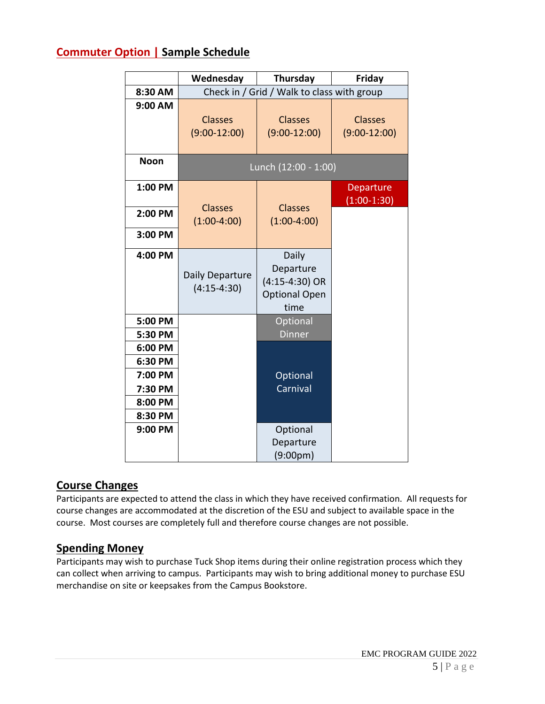### **Commuter Option | Sample Schedule**

|                    | Wednesday                                  | Thursday                                                               | <b>Friday</b>                    |  |
|--------------------|--------------------------------------------|------------------------------------------------------------------------|----------------------------------|--|
| 8:30 AM            | Check in / Grid / Walk to class with group |                                                                        |                                  |  |
| 9:00 AM            | Classes<br>$(9:00-12:00)$                  | Classes<br>$(9:00-12:00)$                                              | <b>Classes</b><br>$(9:00-12:00)$ |  |
| <b>Noon</b>        | Lunch (12:00 - 1:00)                       |                                                                        |                                  |  |
| 1:00 PM            |                                            |                                                                        | Departure<br>$(1:00-1:30)$       |  |
| 2:00 PM            | <b>Classes</b><br>$(1:00-4:00)$            | <b>Classes</b><br>$(1:00-4:00)$                                        |                                  |  |
| 3:00 PM            |                                            |                                                                        |                                  |  |
| 4:00 PM            | Daily Departure<br>$(4:15-4:30)$           | Daily<br>Departure<br>$(4:15-4:30)$ OR<br><b>Optional Open</b><br>time |                                  |  |
| 5:00 PM<br>5:30 PM |                                            | Optional<br><b>Dinner</b>                                              |                                  |  |
| 6:00 PM            |                                            |                                                                        |                                  |  |
| 6:30 PM            |                                            |                                                                        |                                  |  |
| 7:00 PM            |                                            | Optional                                                               |                                  |  |
| 7:30 PM            |                                            | Carnival                                                               |                                  |  |
| 8:00 PM            |                                            |                                                                        |                                  |  |
| 8:30 PM<br>9:00 PM |                                            |                                                                        |                                  |  |
|                    |                                            | Optional<br>Departure                                                  |                                  |  |
|                    |                                            | (9:00 <sub>p</sub> m)                                                  |                                  |  |

### **Course Changes**

Participants are expected to attend the class in which they have received confirmation. All requests for course changes are accommodated at the discretion of the ESU and subject to available space in the course. Most courses are completely full and therefore course changes are not possible.

### **Spending Money**

Participants may wish to purchase Tuck Shop items during their online registration process which they can collect when arriving to campus. Participants may wish to bring additional money to purchase ESU merchandise on site or keepsakes from the Campus Bookstore.